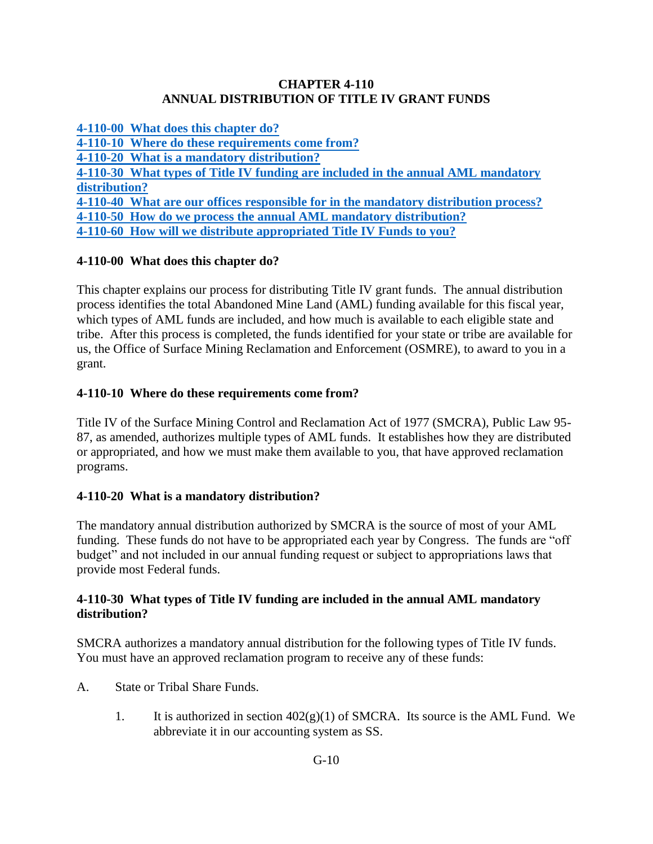#### **CHAPTER 4-110 ANNUAL DISTRIBUTION OF TITLE IV GRANT FUNDS**

**[4-110-00 What does this chapter do?](#page-0-0) [4-110-10 Where do these requirements come from?](#page-0-1) [4-110-20 What is a mandatory distribution?](#page-0-2) [4-110-30 What types of Title IV funding are included in the annual AML mandatory](#page-0-3) [distribution?](#page-0-3) [4-110-40 What are our offices responsible for in the mandatory distribution process?](#page-3-0) [4-110-50 How do we process the annual AML mandatory distribution?](#page-3-1) [4-110-60 How will we distribute appropriated Title IV Funds to you?](#page-4-0)**

# <span id="page-0-0"></span>**4-110-00 What does this chapter do?**

This chapter explains our process for distributing Title IV grant funds. The annual distribution process identifies the total Abandoned Mine Land (AML) funding available for this fiscal year, which types of AML funds are included, and how much is available to each eligible state and tribe. After this process is completed, the funds identified for your state or tribe are available for us, the Office of Surface Mining Reclamation and Enforcement (OSMRE), to award to you in a grant.

## <span id="page-0-1"></span>**4-110-10 Where do these requirements come from?**

Title IV of the Surface Mining Control and Reclamation Act of 1977 (SMCRA), Public Law 95- 87, as amended, authorizes multiple types of AML funds. It establishes how they are distributed or appropriated, and how we must make them available to you, that have approved reclamation programs.

## <span id="page-0-2"></span>**4-110-20 What is a mandatory distribution?**

The mandatory annual distribution authorized by SMCRA is the source of most of your AML funding. These funds do not have to be appropriated each year by Congress. The funds are "off budget" and not included in our annual funding request or subject to appropriations laws that provide most Federal funds.

#### <span id="page-0-3"></span>**4-110-30 What types of Title IV funding are included in the annual AML mandatory distribution?**

SMCRA authorizes a mandatory annual distribution for the following types of Title IV funds. You must have an approved reclamation program to receive any of these funds:

- A. State or Tribal Share Funds.
	- 1. It is authorized in section  $402(g)(1)$  of SMCRA. Its source is the AML Fund. We abbreviate it in our accounting system as SS.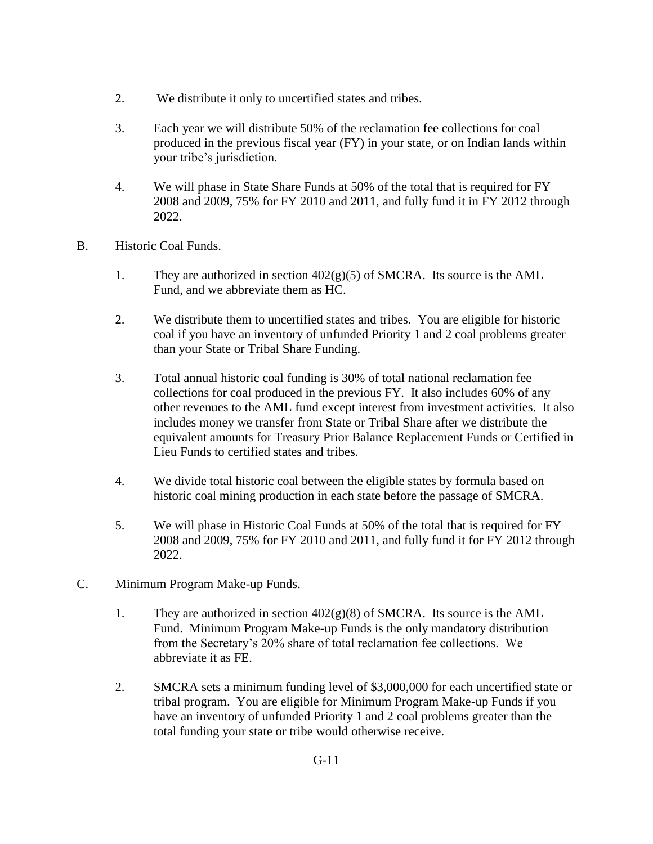- 2. We distribute it only to uncertified states and tribes.
- 3. Each year we will distribute 50% of the reclamation fee collections for coal produced in the previous fiscal year (FY) in your state, or on Indian lands within your tribe's jurisdiction.
- 4. We will phase in State Share Funds at 50% of the total that is required for FY 2008 and 2009, 75% for FY 2010 and 2011, and fully fund it in FY 2012 through 2022.
- B. Historic Coal Funds.
	- 1. They are authorized in section  $402(g)(5)$  of SMCRA. Its source is the AML Fund, and we abbreviate them as HC.
	- 2. We distribute them to uncertified states and tribes. You are eligible for historic coal if you have an inventory of unfunded Priority 1 and 2 coal problems greater than your State or Tribal Share Funding.
	- 3. Total annual historic coal funding is 30% of total national reclamation fee collections for coal produced in the previous FY. It also includes 60% of any other revenues to the AML fund except interest from investment activities. It also includes money we transfer from State or Tribal Share after we distribute the equivalent amounts for Treasury Prior Balance Replacement Funds or Certified in Lieu Funds to certified states and tribes.
	- 4. We divide total historic coal between the eligible states by formula based on historic coal mining production in each state before the passage of SMCRA.
	- 5. We will phase in Historic Coal Funds at 50% of the total that is required for FY 2008 and 2009, 75% for FY 2010 and 2011, and fully fund it for FY 2012 through 2022.
- C. Minimum Program Make-up Funds.
	- 1. They are authorized in section  $402(g)(8)$  of SMCRA. Its source is the AML Fund. Minimum Program Make-up Funds is the only mandatory distribution from the Secretary's 20% share of total reclamation fee collections. We abbreviate it as FE.
	- 2. SMCRA sets a minimum funding level of \$3,000,000 for each uncertified state or tribal program. You are eligible for Minimum Program Make-up Funds if you have an inventory of unfunded Priority 1 and 2 coal problems greater than the total funding your state or tribe would otherwise receive.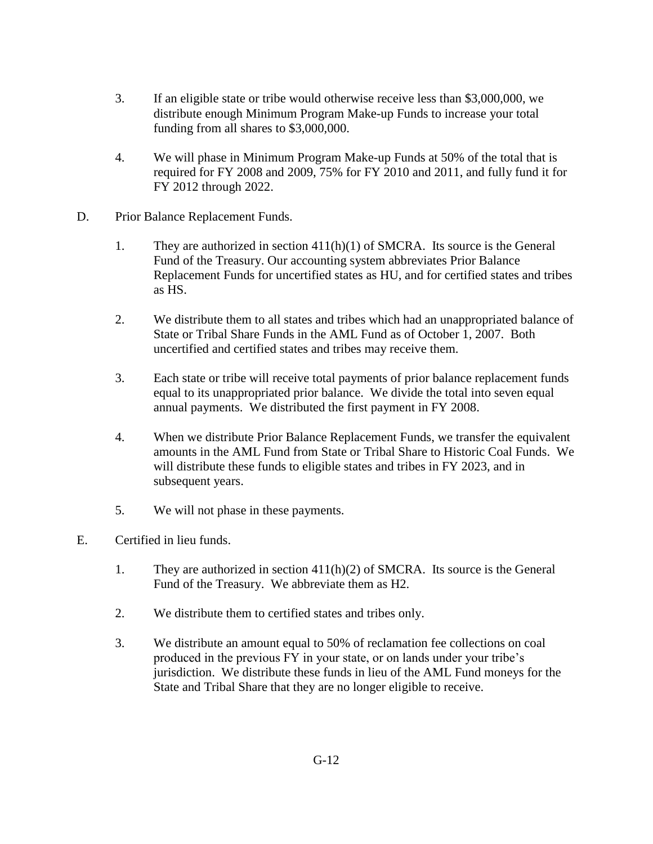- 3. If an eligible state or tribe would otherwise receive less than \$3,000,000, we distribute enough Minimum Program Make-up Funds to increase your total funding from all shares to \$3,000,000.
- 4. We will phase in Minimum Program Make-up Funds at 50% of the total that is required for FY 2008 and 2009, 75% for FY 2010 and 2011, and fully fund it for FY 2012 through 2022.
- D. Prior Balance Replacement Funds.
	- 1. They are authorized in section 411(h)(1) of SMCRA. Its source is the General Fund of the Treasury. Our accounting system abbreviates Prior Balance Replacement Funds for uncertified states as HU, and for certified states and tribes as HS.
	- 2. We distribute them to all states and tribes which had an unappropriated balance of State or Tribal Share Funds in the AML Fund as of October 1, 2007. Both uncertified and certified states and tribes may receive them.
	- 3. Each state or tribe will receive total payments of prior balance replacement funds equal to its unappropriated prior balance. We divide the total into seven equal annual payments. We distributed the first payment in FY 2008.
	- 4. When we distribute Prior Balance Replacement Funds, we transfer the equivalent amounts in the AML Fund from State or Tribal Share to Historic Coal Funds. We will distribute these funds to eligible states and tribes in FY 2023, and in subsequent years.
	- 5. We will not phase in these payments.
- E. Certified in lieu funds.
	- 1. They are authorized in section  $411(h)(2)$  of SMCRA. Its source is the General Fund of the Treasury. We abbreviate them as H2.
	- 2. We distribute them to certified states and tribes only.
	- 3. We distribute an amount equal to 50% of reclamation fee collections on coal produced in the previous FY in your state, or on lands under your tribe's jurisdiction. We distribute these funds in lieu of the AML Fund moneys for the State and Tribal Share that they are no longer eligible to receive.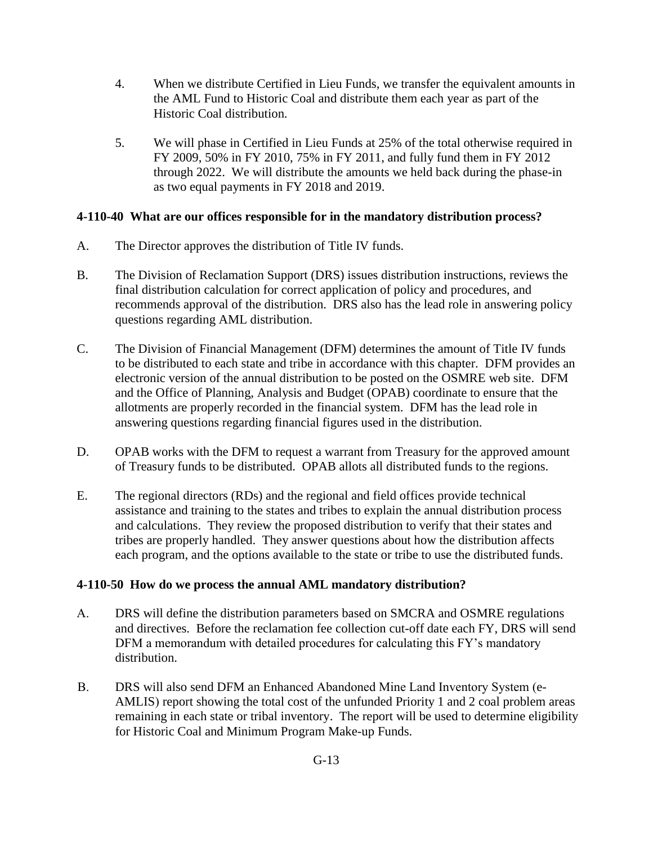- 4. When we distribute Certified in Lieu Funds, we transfer the equivalent amounts in the AML Fund to Historic Coal and distribute them each year as part of the Historic Coal distribution.
- 5. We will phase in Certified in Lieu Funds at 25% of the total otherwise required in FY 2009, 50% in FY 2010, 75% in FY 2011, and fully fund them in FY 2012 through 2022. We will distribute the amounts we held back during the phase-in as two equal payments in FY 2018 and 2019.

## <span id="page-3-0"></span>**4-110-40 What are our offices responsible for in the mandatory distribution process?**

- A. The Director approves the distribution of Title IV funds.
- B. The Division of Reclamation Support (DRS) issues distribution instructions, reviews the final distribution calculation for correct application of policy and procedures, and recommends approval of the distribution. DRS also has the lead role in answering policy questions regarding AML distribution.
- C. The Division of Financial Management (DFM) determines the amount of Title IV funds to be distributed to each state and tribe in accordance with this chapter. DFM provides an electronic version of the annual distribution to be posted on the OSMRE web site. DFM and the Office of Planning, Analysis and Budget (OPAB) coordinate to ensure that the allotments are properly recorded in the financial system. DFM has the lead role in answering questions regarding financial figures used in the distribution.
- D. OPAB works with the DFM to request a warrant from Treasury for the approved amount of Treasury funds to be distributed. OPAB allots all distributed funds to the regions.
- E. The regional directors (RDs) and the regional and field offices provide technical assistance and training to the states and tribes to explain the annual distribution process and calculations. They review the proposed distribution to verify that their states and tribes are properly handled. They answer questions about how the distribution affects each program, and the options available to the state or tribe to use the distributed funds.

## <span id="page-3-1"></span>**4-110-50 How do we process the annual AML mandatory distribution?**

- A. DRS will define the distribution parameters based on SMCRA and OSMRE regulations and directives. Before the reclamation fee collection cut-off date each FY, DRS will send DFM a memorandum with detailed procedures for calculating this FY's mandatory distribution.
- B. DRS will also send DFM an Enhanced Abandoned Mine Land Inventory System (e-AMLIS) report showing the total cost of the unfunded Priority 1 and 2 coal problem areas remaining in each state or tribal inventory. The report will be used to determine eligibility for Historic Coal and Minimum Program Make-up Funds.